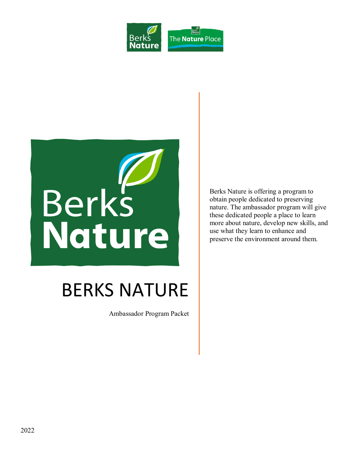



# BERKS NATURE

Ambassador Program Packet

Berks Nature is offering a program to obtain people dedicated to preserving nature. The ambassador program will give these dedicated people a place to learn more about nature, develop new skills, and use what they learn to enhance and preserve the environment around them.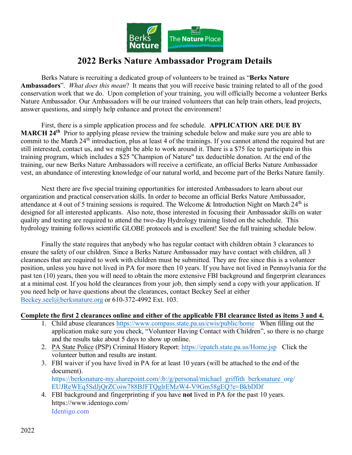

## **2022 Berks Nature Ambassador Program Details**

Berks Nature is recruiting a dedicated group of volunteers to be trained as "**Berks Nature Ambassadors**". *What does this mean*? It means that you will receive basic training related to all of the good conservation work that we do. Upon completion of your training, you will officially become a volunteer Berks Nature Ambassador. Our Ambassadors will be our trained volunteers that can help train others, lead projects, answer questions, and simply help enhance and protect the environment!

First, there is a simple application process and fee schedule. **APPLICATION ARE DUE BY MARCH 24th** Prior to applying please review the training schedule below and make sure you are able to commit to the March 24<sup>th</sup> introduction, plus at least 4 of the trainings. If you cannot attend the required but are still interested, contact us, and we might be able to work around it. There is a \$75 fee to participate in this training program, which includes a \$25 "Champion of Nature" tax deductible donation. At the end of the training, our new Berks Nature Ambassadors will receive a certificate, an official Berks Nature Ambassador vest, an abundance of interesting knowledge of our natural world, and become part of the Berks Nature family.

Next there are five special training opportunities for interested Ambassadors to learn about our organization and practical conservation skills. In order to become an official Berks Nature Ambassador, attendance at 4 out of 5 training sessions is required. The Welcome & Introduction Night on March 24<sup>th</sup> is designed for all interested applicants. Also note, those interested in focusing their Ambassador skills on water quality and testing are required to attend the two-day Hydrology training listed on the schedule. This hydrology training follows scientific GLOBE protocols and is excellent! See the full training schedule below.

Finally the state requires that anybody who has regular contact with children obtain 3 clearances to ensure the safety of our children. Since a Berks Nature Ambassador may have contact with children, all 3 clearances that are required to work with children must be submitted. They are free since this is a volunteer position, unless you have not lived in PA for more then 10 years. If you have not lived in Pennsylvania for the past ten (10) years, then you will need to obtain the more extensive FBI background and fingerprint clearances at a minimal cost. If you hold the clearances from your job, then simply send a copy with your application. If you need help or have questions about the clearances, contact Beckey Seel at either [Beckey.seel@berksnature.org](mailto:beckey.seel@berksnature.org) or 610-372-4992 Ext. 103.

#### **Complete the first 2 clearances online and either of the applicable FBI clearance listed as items 3 and 4.**

- 1. Child abuse clearances <https://www.compass.state.pa.us/cwis/public/home> When filling out the application make sure you check, "Volunteer Having Contact with Children", so there is no charge and the results take about 5 days to show up online.
- 2. PA State Police (PSP) Criminal History Report: <https://epatch.state.pa.us/Home.jsp> Click the volunteer button and results are instant.
- 3. FBI waiver if you have lived in PA for at least 10 years (will be attached to the end of the document). [https://berksnature-my.sharepoint.com/:b:/g/personal/michael\\_griffith\\_berksnature\\_org/](https://berksnature-my.sharepoint.com/:b:/g/personal/michael_griffith_berksnature_org/EUJReWEq5SdJjQrZCoiw788BJFTQglrEMzW4-V9Gm58gEQ?e=BkbDDf) [E](http://www.bpsd.org/Downloads/VOLUNTEER%20REQUEST%20FOR%20WAIVER%20OF8.pdf)UJReWEq5SdJjQrZCoiw788BJFTQglrEMzW4-V9Gm58gEQ?e=BkbDDf
- 4. FBI background and fingerprinting if you have **not** lived in PA for the past 10 years. https://www.identogo.com/ [Identigo.com](https://www.identogo.com/)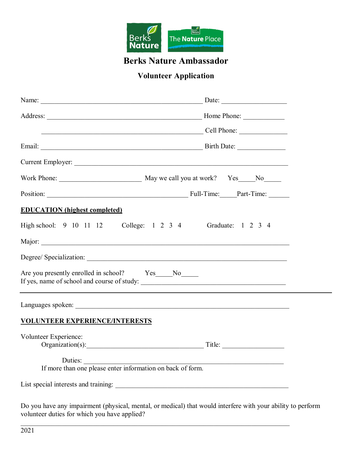

## **Berks Nature Ambassador**

## **Volunteer Application**

| Cell Phone:                                                                       |  |
|-----------------------------------------------------------------------------------|--|
|                                                                                   |  |
|                                                                                   |  |
|                                                                                   |  |
|                                                                                   |  |
| <b>EDUCATION</b> (highest completed)                                              |  |
| High school: 9 10 11 12 College: 1 2 3 4 Graduate: 1 2 3 4                        |  |
|                                                                                   |  |
|                                                                                   |  |
| Are you presently enrolled in school? Yes____No_____                              |  |
|                                                                                   |  |
| <b>VOLUNTEER EXPERIENCE/INTERESTS</b>                                             |  |
| Volunteer Experience:<br>Organization(s): Title:                                  |  |
| Duties: <u>Duties:</u> If more than one please enter information on back of form. |  |
|                                                                                   |  |

Do you have any impairment (physical, mental, or medical) that would interfere with your ability to perform volunteer duties for which you have applied?

 $\mathcal{L}_\mathcal{L} = \mathcal{L}_\mathcal{L} = \mathcal{L}_\mathcal{L} = \mathcal{L}_\mathcal{L} = \mathcal{L}_\mathcal{L} = \mathcal{L}_\mathcal{L} = \mathcal{L}_\mathcal{L} = \mathcal{L}_\mathcal{L} = \mathcal{L}_\mathcal{L} = \mathcal{L}_\mathcal{L} = \mathcal{L}_\mathcal{L} = \mathcal{L}_\mathcal{L} = \mathcal{L}_\mathcal{L} = \mathcal{L}_\mathcal{L} = \mathcal{L}_\mathcal{L} = \mathcal{L}_\mathcal{L} = \mathcal{L}_\mathcal{L}$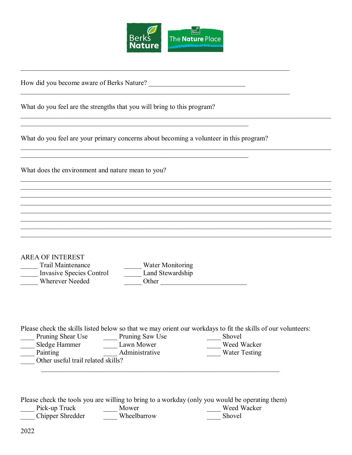

 $\mathcal{L}_\mathcal{L} = \{ \mathcal{L}_\mathcal{L} = \{ \mathcal{L}_\mathcal{L} = \{ \mathcal{L}_\mathcal{L} = \{ \mathcal{L}_\mathcal{L} = \{ \mathcal{L}_\mathcal{L} = \{ \mathcal{L}_\mathcal{L} = \{ \mathcal{L}_\mathcal{L} = \{ \mathcal{L}_\mathcal{L} = \{ \mathcal{L}_\mathcal{L} = \{ \mathcal{L}_\mathcal{L} = \{ \mathcal{L}_\mathcal{L} = \{ \mathcal{L}_\mathcal{L} = \{ \mathcal{L}_\mathcal{L} = \{ \mathcal{L}_\mathcal{$ 

 $\mathcal{L}_\mathcal{L} = \{ \mathcal{L}_\mathcal{L} = \{ \mathcal{L}_\mathcal{L} = \{ \mathcal{L}_\mathcal{L} = \{ \mathcal{L}_\mathcal{L} = \{ \mathcal{L}_\mathcal{L} = \{ \mathcal{L}_\mathcal{L} = \{ \mathcal{L}_\mathcal{L} = \{ \mathcal{L}_\mathcal{L} = \{ \mathcal{L}_\mathcal{L} = \{ \mathcal{L}_\mathcal{L} = \{ \mathcal{L}_\mathcal{L} = \{ \mathcal{L}_\mathcal{L} = \{ \mathcal{L}_\mathcal{L} = \{ \mathcal{L}_\mathcal{$ 

 $\mathcal{L}_\mathcal{L} = \{ \mathcal{L}_\mathcal{L} = \{ \mathcal{L}_\mathcal{L} = \{ \mathcal{L}_\mathcal{L} = \{ \mathcal{L}_\mathcal{L} = \{ \mathcal{L}_\mathcal{L} = \{ \mathcal{L}_\mathcal{L} = \{ \mathcal{L}_\mathcal{L} = \{ \mathcal{L}_\mathcal{L} = \{ \mathcal{L}_\mathcal{L} = \{ \mathcal{L}_\mathcal{L} = \{ \mathcal{L}_\mathcal{L} = \{ \mathcal{L}_\mathcal{L} = \{ \mathcal{L}_\mathcal{L} = \{ \mathcal{L}_\mathcal{$ 

 $\mathcal{L}_\mathcal{L} = \{ \mathcal{L}_\mathcal{L} = \{ \mathcal{L}_\mathcal{L} = \{ \mathcal{L}_\mathcal{L} = \{ \mathcal{L}_\mathcal{L} = \{ \mathcal{L}_\mathcal{L} = \{ \mathcal{L}_\mathcal{L} = \{ \mathcal{L}_\mathcal{L} = \{ \mathcal{L}_\mathcal{L} = \{ \mathcal{L}_\mathcal{L} = \{ \mathcal{L}_\mathcal{L} = \{ \mathcal{L}_\mathcal{L} = \{ \mathcal{L}_\mathcal{L} = \{ \mathcal{L}_\mathcal{L} = \{ \mathcal{L}_\mathcal{$ 

 $\mathcal{L}_\mathcal{L} = \{ \mathcal{L}_\mathcal{L} = \{ \mathcal{L}_\mathcal{L} = \{ \mathcal{L}_\mathcal{L} = \{ \mathcal{L}_\mathcal{L} = \{ \mathcal{L}_\mathcal{L} = \{ \mathcal{L}_\mathcal{L} = \{ \mathcal{L}_\mathcal{L} = \{ \mathcal{L}_\mathcal{L} = \{ \mathcal{L}_\mathcal{L} = \{ \mathcal{L}_\mathcal{L} = \{ \mathcal{L}_\mathcal{L} = \{ \mathcal{L}_\mathcal{L} = \{ \mathcal{L}_\mathcal{L} = \{ \mathcal{L}_\mathcal{$ 

How did you become aware of Berks Nature? \_\_\_\_\_\_\_\_\_\_\_\_\_\_\_\_\_\_\_\_\_\_\_\_\_\_\_\_

What do you feel are the strengths that you will bring to this program?

What do you feel are your primary concerns about becoming a volunteer in this program?

 $\mathcal{L}_\text{G}$  , and the contribution of the contribution of the contribution of the contribution of the contribution of the contribution of the contribution of the contribution of the contribution of the contribution of t

\_\_\_\_\_\_\_\_\_\_\_\_\_\_\_\_\_\_\_\_\_\_\_\_\_\_\_\_\_\_\_\_\_\_\_\_\_\_\_\_\_\_\_\_\_\_\_\_\_\_\_\_\_\_\_\_\_\_\_\_\_\_\_\_\_\_\_\_\_\_\_\_\_\_\_\_\_\_

What does the environment and nature mean to you?

| AREA OF INTEREST         |                  |
|--------------------------|------------------|
| Trail Maintenance        | Water Monitoring |
| Invasive Species Control | Land Stewardship |
| <b>Wherever Needed</b>   | Other            |

Please check the skills listed below so that we may orient our workdays to fit the skills of our volunteers:

| Pruning Shear Use                  | Pruning Saw Use | Shovel               |  |  |
|------------------------------------|-----------------|----------------------|--|--|
| Sledge Hammer                      | Lawn Mower      | Weed Wacker          |  |  |
| Painting                           | Administrative  | <b>Water Testing</b> |  |  |
| Other useful trail related skills? |                 |                      |  |  |

Please check the tools you are willing to bring to a workday (only you would be operating them)

| Pick-up Truck    | Mower       | Weed Wacker |
|------------------|-------------|-------------|
| Chipper Shredder | Wheelbarrow | Shovel      |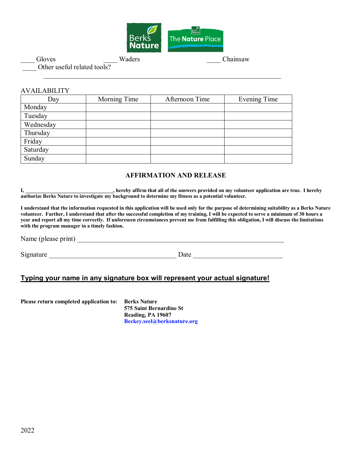

Chainsaw Chainsaw Chainsaw Chainsaw

Other useful related tools?

#### AVAILABILITY

| Day       | Morning Time | Afternoon Time | Evening Time |
|-----------|--------------|----------------|--------------|
| Monday    |              |                |              |
| Tuesday   |              |                |              |
| Wednesday |              |                |              |
| Thursday  |              |                |              |
| Friday    |              |                |              |
| Saturday  |              |                |              |
| Sunday    |              |                |              |

 $\overline{\phantom{a}}$  ,  $\overline{\phantom{a}}$  ,  $\overline{\phantom{a}}$  ,  $\overline{\phantom{a}}$  ,  $\overline{\phantom{a}}$  ,  $\overline{\phantom{a}}$  ,  $\overline{\phantom{a}}$  ,  $\overline{\phantom{a}}$  ,  $\overline{\phantom{a}}$  ,  $\overline{\phantom{a}}$  ,  $\overline{\phantom{a}}$  ,  $\overline{\phantom{a}}$  ,  $\overline{\phantom{a}}$  ,  $\overline{\phantom{a}}$  ,  $\overline{\phantom{a}}$  ,  $\overline{\phantom{a}}$ 

#### **AFFIRMATION AND RELEASE**

**I, \_\_\_\_\_\_\_\_\_\_\_\_\_\_\_\_\_\_\_\_\_\_\_\_\_\_\_\_\_\_\_\_\_\_, hereby affirm that all of the answers provided on my volunteer application are true. I hereby authorize Berks Nature to investigate my background to determine my fitness as a potential volunteer.**

**I understand that the information requested in this application will be used only for the purpose of determining suitability as a Berks Nature volunteer. Further, I understand that after the successful completion of my training, I will be expected to serve a minimum of 30 hours a year and report all my time correctly. If unforeseen circumstances prevent me from fulfilling this obligation, I will discuss the limitations with the program manager in a timely fashion.**

Name (please print) \_\_\_\_\_\_\_\_\_\_\_\_\_\_\_\_\_\_\_\_\_\_\_\_\_\_\_\_\_\_\_\_\_\_\_\_\_\_\_\_\_\_\_\_\_\_\_\_\_\_\_\_\_\_\_\_\_\_\_\_

Signature \_\_\_\_\_\_\_\_\_\_\_\_\_\_\_\_\_\_\_\_\_\_\_\_\_\_\_\_\_\_\_\_\_\_\_\_\_ Date \_\_\_\_\_\_\_\_\_\_\_\_\_\_\_\_\_\_\_\_\_\_\_\_\_\_

#### **Typing your name in any signature box will represent your actual signature!**

**Please return completed application to: Berks Nature**

**575 Saint Bernardine St Reading, PA 19607 [Beckey.seel@berksnature.org](mailto:beckey.seel@berksnature.org)**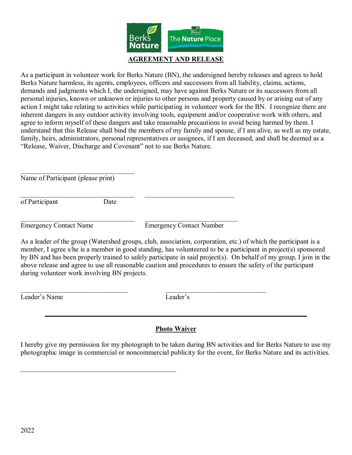

As a participant in volunteer work for Berks Nature (BN), the undersigned hereby releases and agrees to hold Berks Nature harmless, its agents, employees, officers and successors from all liability, claims, actions, demands and judgments which I, the undersigned, may have against Berks Nature or its successors from all personal injuries, known or unknown or injuries to other persons and property caused by or arising out of any action I might take relating to activities while participating in volunteer work for the BN. I recognize there are inherent dangers in any outdoor activity involving tools, equipment and/or cooperative work with others, and agree to inform myself of these dangers and take reasonable precautions to avoid being harmed by them. I understand that this Release shall bind the members of my family and spouse, if I am alive, as well as my estate, family, heirs, administrators, personal representatives or assignees, if I am deceased, and shall be deemed as a "Release, Waiver, Discharge and Covenant" not to sue Berks Nature.

Name of Participant (please print)

 $\mathcal{L}_\text{max}$  , and the set of the set of the set of the set of the set of the set of the set of the set of the set of the set of the set of the set of the set of the set of the set of the set of the set of the set of the

of Participant Date

 $\_$ 

 $\_$ 

Emergency Contact Name Emergency Contact Number

As a leader of the group (Watershed groups, club, association, corporation, etc.) of which the participant is a member, I agree s/he is a member in good standing, has volunteered to be a participant in project(s) sponsored by BN and has been properly trained to safely participate in said project(s). On behalf of my group, I join in the above release and agree to use all reasonable caution and procedures to ensure the safety of the participant during volunteer work involving BN projects.

Leader's Name Leader's

#### **Photo Waiver**

 $\mathcal{L} = \{ \mathcal{L} = \{ \mathcal{L} \mid \mathcal{L} = \{ \mathcal{L} \mid \mathcal{L} = \{ \mathcal{L} \mid \mathcal{L} = \{ \mathcal{L} \mid \mathcal{L} = \{ \mathcal{L} \mid \mathcal{L} = \{ \mathcal{L} \mid \mathcal{L} = \{ \mathcal{L} \mid \mathcal{L} = \{ \mathcal{L} \mid \mathcal{L} = \{ \mathcal{L} \mid \mathcal{L} = \{ \mathcal{L} \mid \mathcal{L} = \{ \mathcal{L} \mid \mathcal{L} = \{ \mathcal{L} \mid \mathcal{L} =$ 

I hereby give my permission for my photograph to be taken during BN activities and for Berks Nature to use my photographic image in commercial or noncommercial publicity for the event, for Berks Nature and its activities.